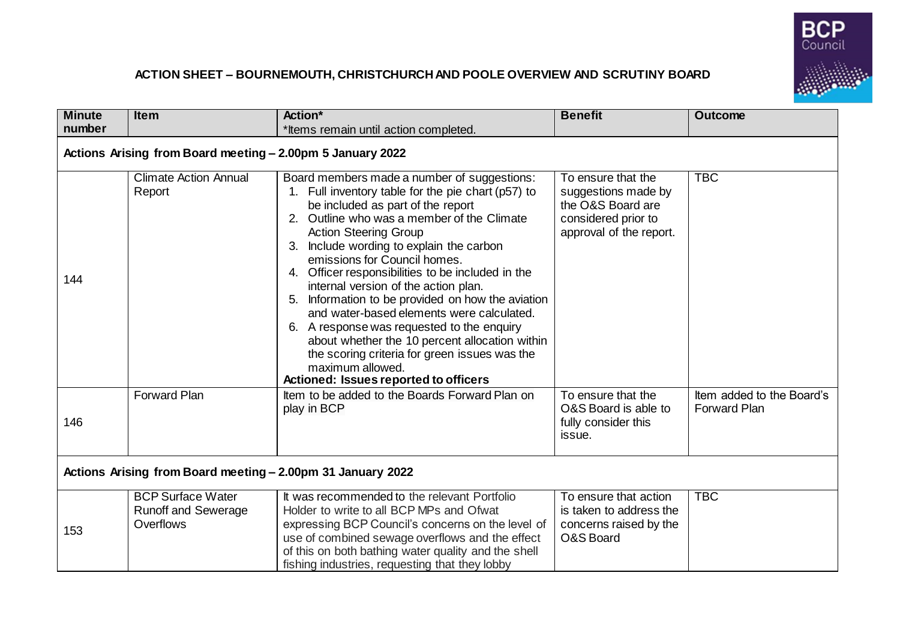

## **ACTION SHEET – BOURNEMOUTH, CHRISTCHURCH AND POOLE OVERVIEW AND SCRUTINY BOARD**

| <b>Minute</b><br>number                                     | <b>Item</b>                                                         | Action*<br>*Items remain until action completed.                                                                                                                                                                                                                                                                                                                                                                                                                                                                                                                                                                                                                                                                    | <b>Benefit</b>                                                                                                   | <b>Outcome</b>                                   |  |
|-------------------------------------------------------------|---------------------------------------------------------------------|---------------------------------------------------------------------------------------------------------------------------------------------------------------------------------------------------------------------------------------------------------------------------------------------------------------------------------------------------------------------------------------------------------------------------------------------------------------------------------------------------------------------------------------------------------------------------------------------------------------------------------------------------------------------------------------------------------------------|------------------------------------------------------------------------------------------------------------------|--------------------------------------------------|--|
| Actions Arising from Board meeting - 2.00pm 5 January 2022  |                                                                     |                                                                                                                                                                                                                                                                                                                                                                                                                                                                                                                                                                                                                                                                                                                     |                                                                                                                  |                                                  |  |
| 144                                                         | <b>Climate Action Annual</b><br>Report                              | Board members made a number of suggestions:<br>1. Full inventory table for the pie chart (p57) to<br>be included as part of the report<br>2. Outline who was a member of the Climate<br><b>Action Steering Group</b><br>Include wording to explain the carbon<br>3.<br>emissions for Council homes.<br>4. Officer responsibilities to be included in the<br>internal version of the action plan.<br>Information to be provided on how the aviation<br>5.<br>and water-based elements were calculated.<br>6. A response was requested to the enquiry<br>about whether the 10 percent allocation within<br>the scoring criteria for green issues was the<br>maximum allowed.<br>Actioned: Issues reported to officers | To ensure that the<br>suggestions made by<br>the O&S Board are<br>considered prior to<br>approval of the report. | <b>TBC</b>                                       |  |
| 146                                                         | <b>Forward Plan</b>                                                 | Item to be added to the Boards Forward Plan on<br>play in BCP                                                                                                                                                                                                                                                                                                                                                                                                                                                                                                                                                                                                                                                       | To ensure that the<br>O&S Board is able to<br>fully consider this<br>issue.                                      | Item added to the Board's<br><b>Forward Plan</b> |  |
| Actions Arising from Board meeting - 2.00pm 31 January 2022 |                                                                     |                                                                                                                                                                                                                                                                                                                                                                                                                                                                                                                                                                                                                                                                                                                     |                                                                                                                  |                                                  |  |
| 153                                                         | <b>BCP Surface Water</b><br><b>Runoff and Sewerage</b><br>Overflows | It was recommended to the relevant Portfolio<br>Holder to write to all BCP MPs and Ofwat<br>expressing BCP Council's concerns on the level of<br>use of combined sewage overflows and the effect<br>of this on both bathing water quality and the shell<br>fishing industries, requesting that they lobby                                                                                                                                                                                                                                                                                                                                                                                                           | To ensure that action<br>is taken to address the<br>concerns raised by the<br>O&S Board                          | <b>TBC</b>                                       |  |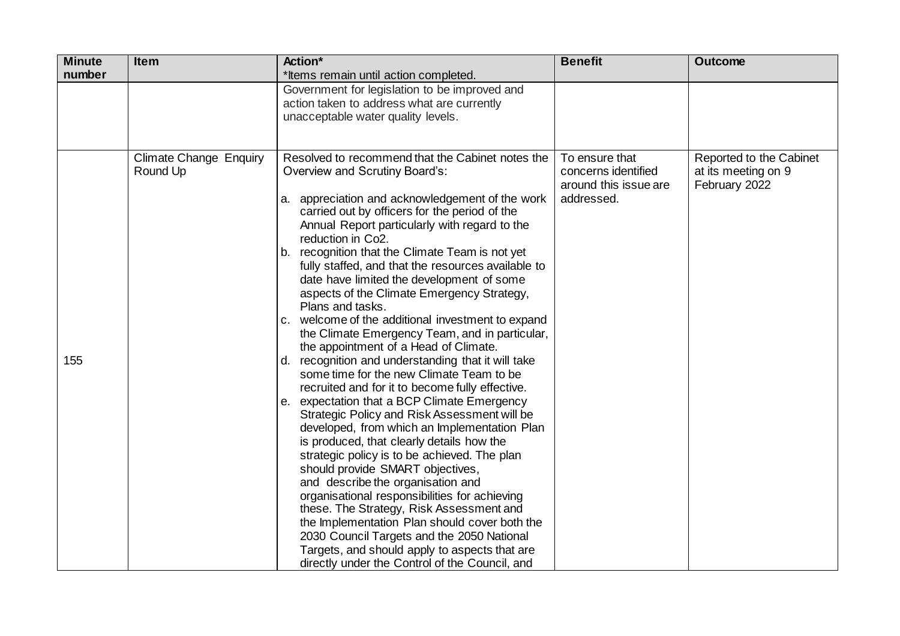| <b>Minute</b> | <b>Item</b>                               | Action*                                                                                                                                                                                                                                                                                                                                                                                                                                                                                                                                                                                                                                                                                                                                                                                                                                                                                                                                                                                                                                                                                                                                                                                                                                                                                                                                                                                                       | <b>Benefit</b>                                                               | <b>Outcome</b>                                                  |
|---------------|-------------------------------------------|---------------------------------------------------------------------------------------------------------------------------------------------------------------------------------------------------------------------------------------------------------------------------------------------------------------------------------------------------------------------------------------------------------------------------------------------------------------------------------------------------------------------------------------------------------------------------------------------------------------------------------------------------------------------------------------------------------------------------------------------------------------------------------------------------------------------------------------------------------------------------------------------------------------------------------------------------------------------------------------------------------------------------------------------------------------------------------------------------------------------------------------------------------------------------------------------------------------------------------------------------------------------------------------------------------------------------------------------------------------------------------------------------------------|------------------------------------------------------------------------------|-----------------------------------------------------------------|
| number        |                                           | *Items remain until action completed.                                                                                                                                                                                                                                                                                                                                                                                                                                                                                                                                                                                                                                                                                                                                                                                                                                                                                                                                                                                                                                                                                                                                                                                                                                                                                                                                                                         |                                                                              |                                                                 |
|               |                                           | Government for legislation to be improved and<br>action taken to address what are currently<br>unacceptable water quality levels.                                                                                                                                                                                                                                                                                                                                                                                                                                                                                                                                                                                                                                                                                                                                                                                                                                                                                                                                                                                                                                                                                                                                                                                                                                                                             |                                                                              |                                                                 |
| 155           | <b>Climate Change Enquiry</b><br>Round Up | Resolved to recommend that the Cabinet notes the<br>Overview and Scrutiny Board's:<br>a. appreciation and acknowledgement of the work<br>carried out by officers for the period of the<br>Annual Report particularly with regard to the<br>reduction in Co2.<br>b. recognition that the Climate Team is not yet<br>fully staffed, and that the resources available to<br>date have limited the development of some<br>aspects of the Climate Emergency Strategy,<br>Plans and tasks.<br>c. welcome of the additional investment to expand<br>the Climate Emergency Team, and in particular,<br>the appointment of a Head of Climate.<br>d. recognition and understanding that it will take<br>some time for the new Climate Team to be<br>recruited and for it to become fully effective.<br>e. expectation that a BCP Climate Emergency<br>Strategic Policy and Risk Assessment will be<br>developed, from which an Implementation Plan<br>is produced, that clearly details how the<br>strategic policy is to be achieved. The plan<br>should provide SMART objectives,<br>and describe the organisation and<br>organisational responsibilities for achieving<br>these. The Strategy, Risk Assessment and<br>the Implementation Plan should cover both the<br>2030 Council Targets and the 2050 National<br>Targets, and should apply to aspects that are<br>directly under the Control of the Council, and | To ensure that<br>concerns identified<br>around this issue are<br>addressed. | Reported to the Cabinet<br>at its meeting on 9<br>February 2022 |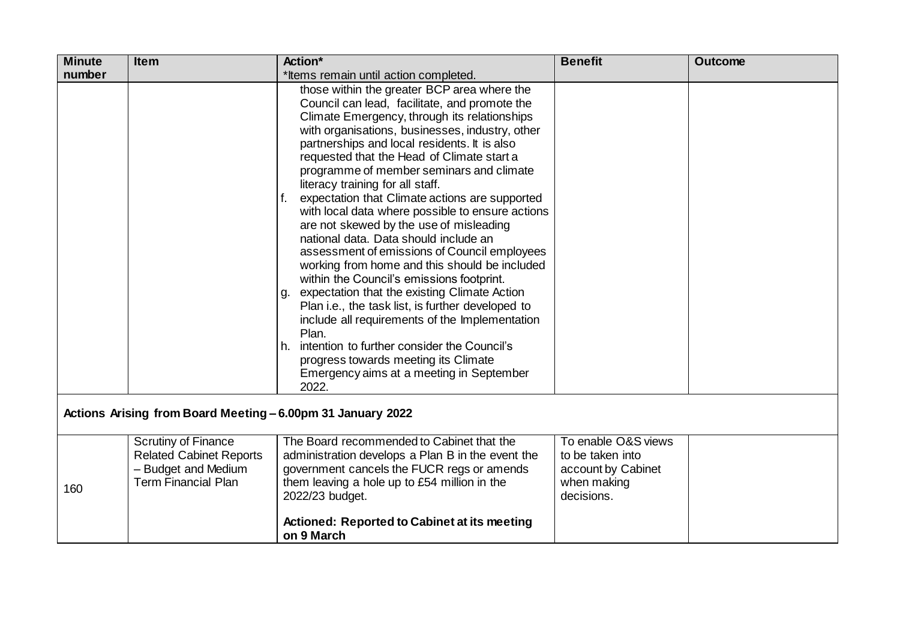| <b>Minute</b>                                               | <b>Item</b>                                                                                                       | Action*                                                                                                                                                                                                                                                                                                                                                                                                                                                                                                                                                                                                                                                                                                                                                                                                                                                                                                                                                                                                                                    | <b>Benefit</b>                                                                             | <b>Outcome</b> |
|-------------------------------------------------------------|-------------------------------------------------------------------------------------------------------------------|--------------------------------------------------------------------------------------------------------------------------------------------------------------------------------------------------------------------------------------------------------------------------------------------------------------------------------------------------------------------------------------------------------------------------------------------------------------------------------------------------------------------------------------------------------------------------------------------------------------------------------------------------------------------------------------------------------------------------------------------------------------------------------------------------------------------------------------------------------------------------------------------------------------------------------------------------------------------------------------------------------------------------------------------|--------------------------------------------------------------------------------------------|----------------|
| number                                                      |                                                                                                                   | *Items remain until action completed.                                                                                                                                                                                                                                                                                                                                                                                                                                                                                                                                                                                                                                                                                                                                                                                                                                                                                                                                                                                                      |                                                                                            |                |
|                                                             |                                                                                                                   | those within the greater BCP area where the<br>Council can lead, facilitate, and promote the<br>Climate Emergency, through its relationships<br>with organisations, businesses, industry, other<br>partnerships and local residents. It is also<br>requested that the Head of Climate start a<br>programme of member seminars and climate<br>literacy training for all staff.<br>f. expectation that Climate actions are supported<br>with local data where possible to ensure actions<br>are not skewed by the use of misleading<br>national data. Data should include an<br>assessment of emissions of Council employees<br>working from home and this should be included<br>within the Council's emissions footprint.<br>g. expectation that the existing Climate Action<br>Plan i.e., the task list, is further developed to<br>include all requirements of the Implementation<br>Plan.<br>h. intention to further consider the Council's<br>progress towards meeting its Climate<br>Emergency aims at a meeting in September<br>2022. |                                                                                            |                |
| Actions Arising from Board Meeting - 6.00pm 31 January 2022 |                                                                                                                   |                                                                                                                                                                                                                                                                                                                                                                                                                                                                                                                                                                                                                                                                                                                                                                                                                                                                                                                                                                                                                                            |                                                                                            |                |
| 160                                                         | <b>Scrutiny of Finance</b><br><b>Related Cabinet Reports</b><br>- Budget and Medium<br><b>Term Financial Plan</b> | The Board recommended to Cabinet that the<br>administration develops a Plan B in the event the<br>government cancels the FUCR regs or amends<br>them leaving a hole up to £54 million in the<br>2022/23 budget.<br><b>Actioned: Reported to Cabinet at its meeting</b>                                                                                                                                                                                                                                                                                                                                                                                                                                                                                                                                                                                                                                                                                                                                                                     | To enable O&S views<br>to be taken into<br>account by Cabinet<br>when making<br>decisions. |                |

**on 9 March**